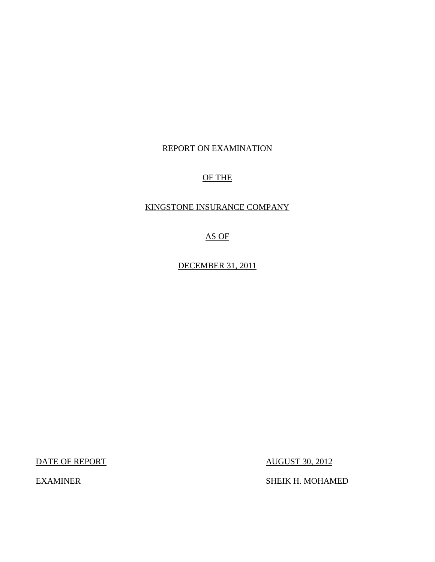## REPORT ON EXAMINATION

# OF THE

## KINGSTONE INSURANCE COMPANY

AS OF

DECEMBER 31, 2011

DATE OF REPORT AUGUST 30, 2012

EXAMINER SHEIK H. MOHAMED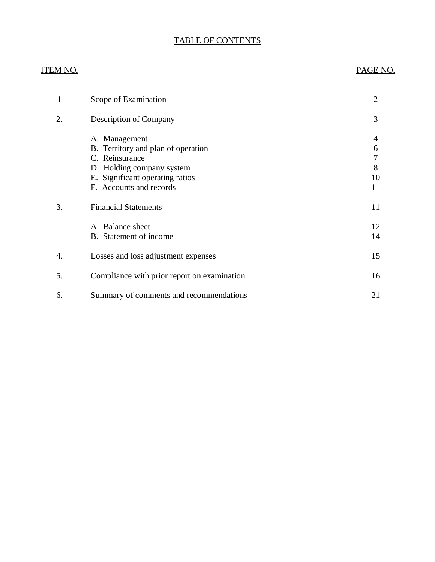# TABLE OF CONTENTS

## ITEM NO. PAGE NO.

| 1  | Scope of Examination                                                                                                                                             | 2                            |
|----|------------------------------------------------------------------------------------------------------------------------------------------------------------------|------------------------------|
| 2. | <b>Description of Company</b>                                                                                                                                    | 3                            |
|    | A. Management<br>B. Territory and plan of operation<br>C. Reinsurance<br>D. Holding company system<br>E. Significant operating ratios<br>F. Accounts and records | 4<br>6<br>7<br>8<br>10<br>11 |
| 3. | <b>Financial Statements</b>                                                                                                                                      | 11                           |
|    | A. Balance sheet<br>B. Statement of income                                                                                                                       | 12<br>14                     |
| 4. | Losses and loss adjustment expenses                                                                                                                              | 15                           |
| 5. | Compliance with prior report on examination                                                                                                                      | 16                           |
| 6. | Summary of comments and recommendations                                                                                                                          | 21                           |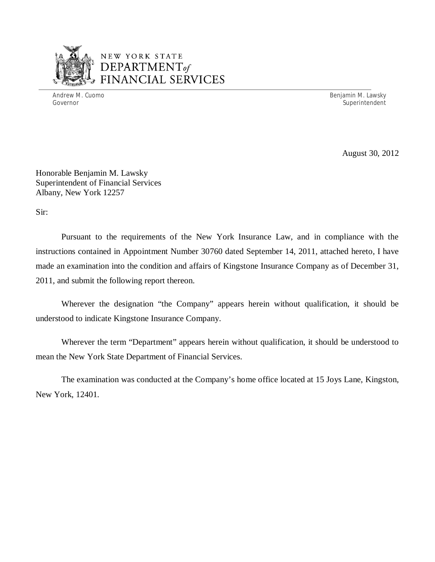

# NEW YORK STATE *DEPARTMENTof*  FINANCIAL SERVICES

Andrew M. Cuomo **Benjamin M. Lawsky** Governor Superintendent Superintendent Superintendent Superintendent Superintendent Superintendent Superintendent

August 30, 2012

Honorable Benjamin M. Lawsky Superintendent of Financial Services Albany, New York 12257

Sir:

Pursuant to the requirements of the New York Insurance Law, and in compliance with the instructions contained in Appointment Number 30760 dated September 14, 2011, attached hereto, I have made an examination into the condition and affairs of Kingstone Insurance Company as of December 31, 2011, and submit the following report thereon.

Wherever the designation "the Company" appears herein without qualification, it should be understood to indicate Kingstone Insurance Company.

Wherever the term "Department" appears herein without qualification, it should be understood to mean the New York State Department of Financial Services.

The examination was conducted at the Company's home office located at 15 Joys Lane, Kingston, New York, 12401.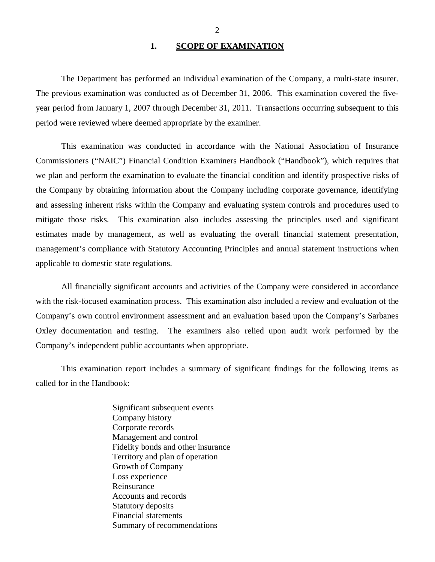## 1. SCOPE OF EXAMINATION

<span id="page-3-0"></span>The Department has performed an individual examination of the Company*,* a multi-state insurer. The previous examination was conducted as of December 31, 2006. This examination covered the fiveyear period from January 1, 2007 through December 31, 2011. Transactions occurring subsequent to this period were reviewed where deemed appropriate by the examiner.

This examination was conducted in accordance with the National Association of Insurance Commissioners ("NAIC") Financial Condition Examiners Handbook ("Handbook"), which requires that we plan and perform the examination to evaluate the financial condition and identify prospective risks of the Company by obtaining information about the Company including corporate governance, identifying and assessing inherent risks within the Company and evaluating system controls and procedures used to mitigate those risks. This examination also includes assessing the principles used and significant estimates made by management, as well as evaluating the overall financial statement presentation, management's compliance with Statutory Accounting Principles and annual statement instructions when applicable to domestic state regulations.

All financially significant accounts and activities of the Company were considered in accordance with the risk-focused examination process. This examination also included a review and evaluation of the Company's own control environment assessment and an evaluation based upon the Company's Sarbanes Oxley documentation and testing. The examiners also relied upon audit work performed by the Company's independent public accountants when appropriate.

This examination report includes a summary of significant findings for the following items as called for in the Handbook:

> Significant subsequent events Company history Corporate records Management and control Fidelity bonds and other insurance Territory and plan of operation Growth of Company Loss experience Reinsurance Accounts and records Statutory deposits Financial statements Summary of recommendations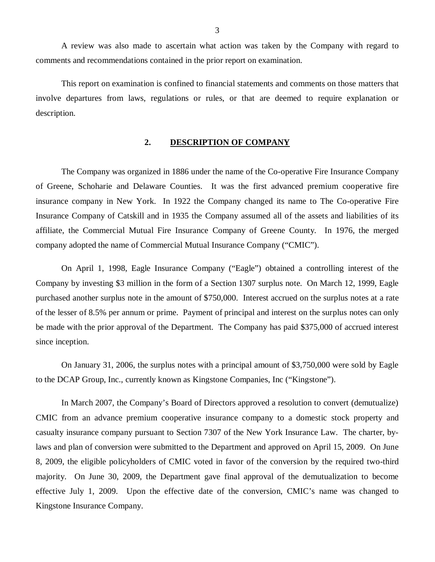<span id="page-4-0"></span>A review was also made to ascertain what action was taken by the Company with regard to comments and recommendations contained in the prior report on examination.

This report on examination is confined to financial statements and comments on those matters that involve departures from laws, regulations or rules, or that are deemed to require explanation or description.

## **2. DESCRIPTION OF COMPANY**

The Company was organized in 1886 under the name of the Co-operative Fire Insurance Company of Greene, Schoharie and Delaware Counties. It was the first advanced premium cooperative fire insurance company in New York. In 1922 the Company changed its name to The Co-operative Fire Insurance Company of Catskill and in 1935 the Company assumed all of the assets and liabilities of its affiliate, the Commercial Mutual Fire Insurance Company of Greene County. In 1976, the merged company adopted the name of Commercial Mutual Insurance Company ("CMIC").

On April 1, 1998, Eagle Insurance Company ("Eagle") obtained a controlling interest of the Company by investing \$3 million in the form of a Section 1307 surplus note. On March 12, 1999, Eagle purchased another surplus note in the amount of \$750,000. Interest accrued on the surplus notes at a rate of the lesser of 8.5% per annum or prime. Payment of principal and interest on the surplus notes can only be made with the prior approval of the Department. The Company has paid \$375,000 of accrued interest since inception.

On January 31, 2006, the surplus notes with a principal amount of \$3,750,000 were sold by Eagle to the DCAP Group, Inc., currently known as Kingstone Companies, Inc ("Kingstone").

In March 2007, the Company's Board of Directors approved a resolution to convert (demutualize) CMIC from an advance premium cooperative insurance company to a domestic stock property and casualty insurance company pursuant to Section 7307 of the New York Insurance Law. The charter, bylaws and plan of conversion were submitted to the Department and approved on April 15, 2009. On June 8, 2009, the eligible policyholders of CMIC voted in favor of the conversion by the required two-third majority. On June 30, 2009, the Department gave final approval of the demutualization to become effective July 1, 2009. Upon the effective date of the conversion, CMIC's name was changed to Kingstone Insurance Company.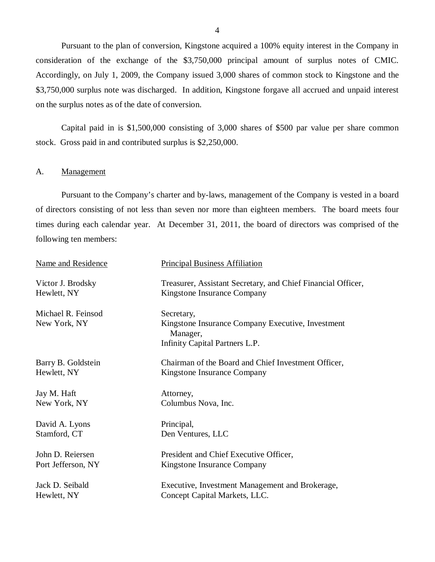Pursuant to the plan of conversion, Kingstone acquired a 100% equity interest in the Company in consideration of the exchange of the \$3,750,000 principal amount of surplus notes of CMIC. Accordingly, on July 1, 2009, the Company issued 3,000 shares of common stock to Kingstone and the \$3,750,000 surplus note was discharged. In addition, Kingstone forgave all accrued and unpaid interest on the surplus notes as of the date of conversion.

Capital paid in is \$1,500,000 consisting of 3,000 shares of \$500 par value per share common stock. Gross paid in and contributed surplus is \$2,250,000.

## A. Management

Pursuant to the Company's charter and by-laws, management of the Company is vested in a board of directors consisting of not less than seven nor more than eighteen members. The board meets four times during each calendar year. At December 31, 2011, the board of directors was comprised of the following ten members:

| <b>Name and Residence</b>          | <b>Principal Business Affiliation</b>                                                                         |
|------------------------------------|---------------------------------------------------------------------------------------------------------------|
| Victor J. Brodsky                  | Treasurer, Assistant Secretary, and Chief Financial Officer,                                                  |
| Hewlett, NY                        | Kingstone Insurance Company                                                                                   |
| Michael R. Feinsod<br>New York, NY | Secretary,<br>Kingstone Insurance Company Executive, Investment<br>Manager,<br>Infinity Capital Partners L.P. |
| Barry B. Goldstein                 | Chairman of the Board and Chief Investment Officer,                                                           |
| Hewlett, NY                        | Kingstone Insurance Company                                                                                   |
| Jay M. Haft                        | Attorney,                                                                                                     |
| New York, NY                       | Columbus Nova, Inc.                                                                                           |
| David A. Lyons                     | Principal,                                                                                                    |
| Stamford, CT                       | Den Ventures, LLC                                                                                             |
| John D. Reiersen                   | President and Chief Executive Officer,                                                                        |
| Port Jefferson, NY                 | Kingstone Insurance Company                                                                                   |
| Jack D. Seibald                    | Executive, Investment Management and Brokerage,                                                               |
| Hewlett, NY                        | Concept Capital Markets, LLC.                                                                                 |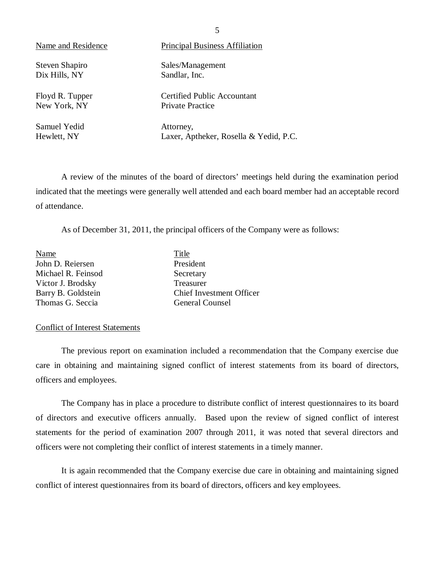| Name and Residence | <b>Principal Business Affiliation</b>  |
|--------------------|----------------------------------------|
| Steven Shapiro     | Sales/Management                       |
| Dix Hills, NY      | Sandlar, Inc.                          |
| Floyd R. Tupper    | Certified Public Accountant            |
| New York, NY       | <b>Private Practice</b>                |
| Samuel Yedid       | Attorney,                              |
| Hewlett, NY        | Laxer, Aptheker, Rosella & Yedid, P.C. |

A review of the minutes of the board of directors' meetings held during the examination period indicated that the meetings were generally well attended and each board member had an acceptable record of attendance.

As of December 31, 2011, the principal officers of the Company were as follows:

| Name               | Title                           |
|--------------------|---------------------------------|
| John D. Reiersen   | President                       |
| Michael R. Feinsod | Secretary                       |
| Victor J. Brodsky  | Treasurer                       |
| Barry B. Goldstein | <b>Chief Investment Officer</b> |
| Thomas G. Seccia   | <b>General Counsel</b>          |

## Conflict of Interest Statements

The previous report on examination included a recommendation that the Company exercise due care in obtaining and maintaining signed conflict of interest statements from its board of directors, officers and employees.

The Company has in place a procedure to distribute conflict of interest questionnaires to its board of directors and executive officers annually. Based upon the review of signed conflict of interest statements for the period of examination 2007 through 2011, it was noted that several directors and officers were not completing their conflict of interest statements in a timely manner.

It is again recommended that the Company exercise due care in obtaining and maintaining signed conflict of interest questionnaires from its board of directors, officers and key employees.

5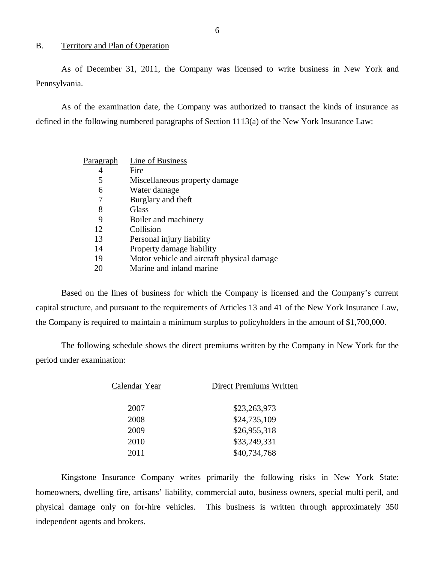#### <span id="page-7-0"></span>B. Territory and Plan of Operation

As of December 31, 2011, the Company was licensed to write business in New York and Pennsylvania.

As of the examination date, the Company was authorized to transact the kinds of insurance as defined in the following numbered paragraphs of Section 1113(a) of the New York Insurance Law:

| P <u>aragraph</u> | Line of Business                           |
|-------------------|--------------------------------------------|
| 4                 | Fire                                       |
| 5                 | Miscellaneous property damage              |
| 6                 | Water damage                               |
| 7                 | Burglary and theft                         |
| 8                 | Glass                                      |
| 9                 | Boiler and machinery                       |
| 12                | Collision                                  |
| 13                | Personal injury liability                  |
| 14                | Property damage liability                  |
| 19                | Motor vehicle and aircraft physical damage |
| 20                | Marine and inland marine                   |

Based on the lines of business for which the Company is licensed and the Company's current capital structure, and pursuant to the requirements of Articles 13 and 41 of the New York Insurance Law, the Company is required to maintain a minimum surplus to policyholders in the amount of \$1,700,000.

The following schedule shows the direct premiums written by the Company in New York for the period under examination:

| Calendar Year | Direct Premiums Written |
|---------------|-------------------------|
| 2007          | \$23,263,973            |
| 2008          | \$24,735,109            |
| 2009          | \$26,955,318            |
| 2010          | \$33,249,331            |
| 2011          | \$40,734,768            |
|               |                         |

Kingstone Insurance Company writes primarily the following risks in New York State: homeowners, dwelling fire, artisans' liability, commercial auto, business owners, special multi peril, and physical damage only on for-hire vehicles. This business is written through approximately 350 independent agents and brokers.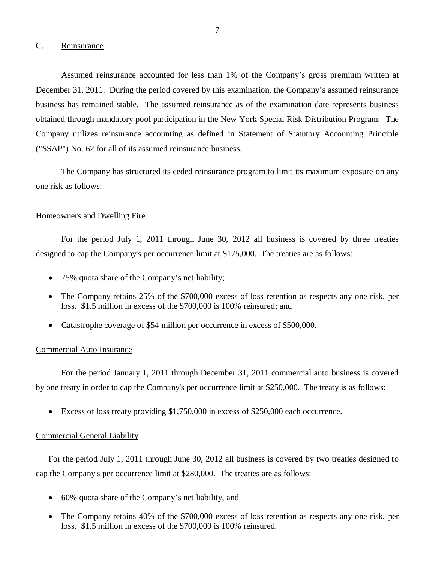#### <span id="page-8-0"></span>C. Reinsurance

Assumed reinsurance accounted for less than 1% of the Company's gross premium written at December 31, 2011. During the period covered by this examination, the Company's assumed reinsurance business has remained stable. The assumed reinsurance as of the examination date represents business obtained through mandatory pool participation in the New York Special Risk Distribution Program. The Company utilizes reinsurance accounting as defined in Statement of Statutory Accounting Principle ("SSAP") No. 62 for all of its assumed reinsurance business.

The Company has structured its ceded reinsurance program to limit its maximum exposure on any one risk as follows:

#### Homeowners and Dwelling Fire

For the period July 1, 2011 through June 30, 2012 all business is covered by three treaties designed to cap the Company's per occurrence limit at \$175,000. The treaties are as follows:

- 75% quota share of the Company's net liability;
- The Company retains 25% of the \$700,000 excess of loss retention as respects any one risk, per loss. \$1.5 million in excess of the \$700,000 is 100% reinsured; and
- Catastrophe coverage of \$54 million per occurrence in excess of \$500,000.

#### Commercial Auto Insurance

For the period January 1, 2011 through December 31, 2011 commercial auto business is covered by one treaty in order to cap the Company's per occurrence limit at \$250,000. The treaty is as follows:

Excess of loss treaty providing \$1,750,000 in excess of \$250,000 each occurrence.

#### Commercial General Liability

For the period July 1, 2011 through June 30, 2012 all business is covered by two treaties designed to cap the Company's per occurrence limit at \$280,000. The treaties are as follows:

- 60% quota share of the Company's net liability, and
- The Company retains 40% of the \$700,000 excess of loss retention as respects any one risk, per loss. \$1.5 million in excess of the \$700,000 is 100% reinsured.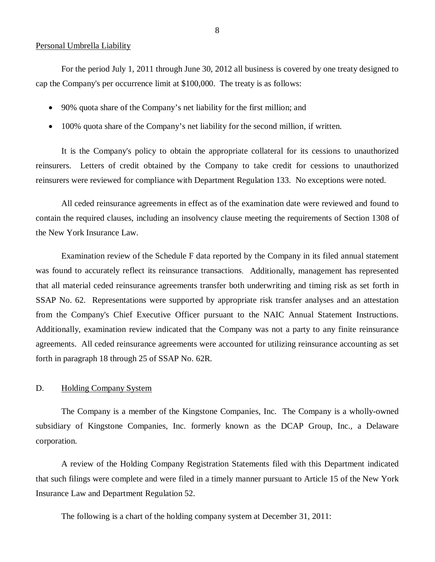#### <span id="page-9-0"></span>Personal Umbrella Liability

For the period July 1, 2011 through June 30, 2012 all business is covered by one treaty designed to cap the Company's per occurrence limit at \$100,000. The treaty is as follows:

- 90% quota share of the Company's net liability for the first million; and
- 100% quota share of the Company's net liability for the second million, if written.

It is the Company's policy to obtain the appropriate collateral for its cessions to unauthorized reinsurers. Letters of credit obtained by the Company to take credit for cessions to unauthorized reinsurers were reviewed for compliance with Department Regulation 133. No exceptions were noted.

All ceded reinsurance agreements in effect as of the examination date were reviewed and found to contain the required clauses, including an insolvency clause meeting the requirements of Section 1308 of the New York Insurance Law.

Examination review of the Schedule F data reported by the Company in its filed annual statement was found to accurately reflect its reinsurance transactions. Additionally, management has represented that all material ceded reinsurance agreements transfer both underwriting and timing risk as set forth in SSAP No. 62. Representations were supported by appropriate risk transfer analyses and an attestation from the Company's Chief Executive Officer pursuant to the NAIC Annual Statement Instructions. Additionally, examination review indicated that the Company was not a party to any finite reinsurance agreements. All ceded reinsurance agreements were accounted for utilizing reinsurance accounting as set forth in paragraph 18 through 25 of SSAP No. 62R.

## D. Holding Company System

The Company is a member of the Kingstone Companies, Inc. The Company is a wholly-owned subsidiary of Kingstone Companies, Inc. formerly known as the DCAP Group, Inc., a Delaware corporation.

A review of the Holding Company Registration Statements filed with this Department indicated that such filings were complete and were filed in a timely manner pursuant to Article 15 of the New York Insurance Law and Department Regulation 52.

The following is a chart of the holding company system at December 31, 2011: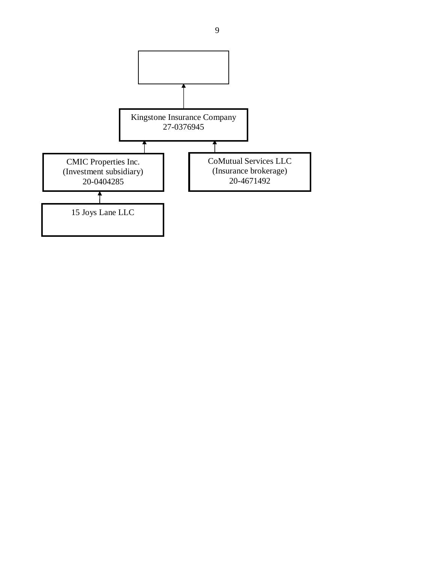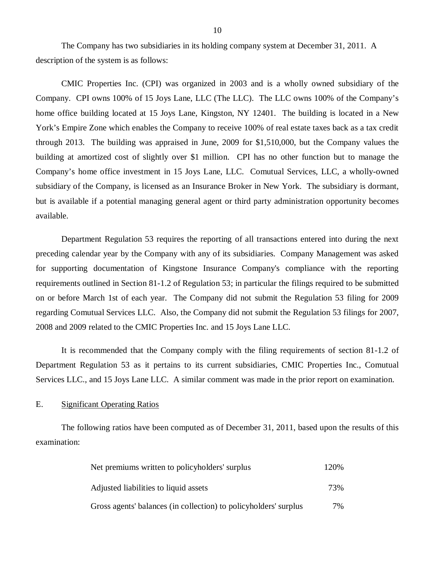The Company has two subsidiaries in its holding company system at December 31, 2011. A description of the system is as follows:

CMIC Properties Inc. (CPI) was organized in 2003 and is a wholly owned subsidiary of the Company. CPI owns 100% of 15 Joys Lane, LLC (The LLC). The LLC owns 100% of the Company's home office building located at 15 Joys Lane, Kingston, NY 12401. The building is located in a New York's Empire Zone which enables the Company to receive 100% of real estate taxes back as a tax credit through 2013. The building was appraised in June, 2009 for \$1,510,000, but the Company values the building at amortized cost of slightly over \$1 million. CPI has no other function but to manage the Company's home office investment in 15 Joys Lane, LLC. Comutual Services, LLC, a wholly-owned subsidiary of the Company, is licensed as an Insurance Broker in New York. The subsidiary is dormant, but is available if a potential managing general agent or third party administration opportunity becomes available.

Department Regulation 53 requires the reporting of all transactions entered into during the next preceding calendar year by the Company with any of its subsidiaries. Company Management was asked for supporting documentation of Kingstone Insurance Company's compliance with the reporting requirements outlined in Section 81-1.2 of Regulation 53; in particular the filings required to be submitted on or before March 1st of each year. The Company did not submit the Regulation 53 filing for 2009 regarding Comutual Services LLC. Also, the Company did not submit the Regulation 53 filings for 2007, 2008 and 2009 related to the CMIC Properties Inc. and 15 Joys Lane LLC.

It is recommended that the Company comply with the filing requirements of section 81-1.2 of Department Regulation 53 as it pertains to its current subsidiaries, CMIC Properties Inc., Comutual Services LLC., and 15 Joys Lane LLC. A similar comment was made in the prior report on examination.

## E. Significant Operating Ratios

The following ratios have been computed as of December 31, 2011, based upon the results of this examination:

| Net premiums written to policyholders' surplus                   | 120\% |
|------------------------------------------------------------------|-------|
| Adjusted liabilities to liquid assets                            | 73%   |
| Gross agents' balances (in collection) to policyholders' surplus | 7%    |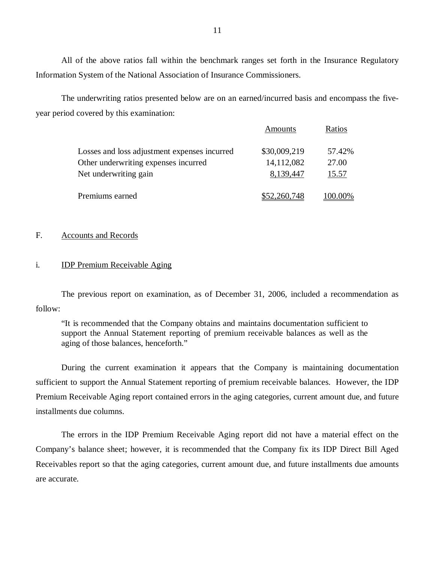All of the above ratios fall within the benchmark ranges set forth in the Insurance Regulatory Information System of the National Association of Insurance Commissioners.

The underwriting ratios presented below are on an earned/incurred basis and encompass the fiveyear period covered by this examination:

|                                              | Amounts      | Ratios |
|----------------------------------------------|--------------|--------|
| Losses and loss adjustment expenses incurred | \$30,009,219 | 57.42% |
| Other underwriting expenses incurred         | 14,112,082   | 27.00  |
| Net underwriting gain                        | 8,139,447    | 15.57  |
| Premiums earned                              |              |        |

## F. Accounts and Records

## i. IDP Premium Receivable Aging

The previous report on examination, as of December 31, 2006, included a recommendation as follow:

"It is recommended that the Company obtains and maintains documentation sufficient to support the Annual Statement reporting of premium receivable balances as well as the aging of those balances, henceforth."

During the current examination it appears that the Company is maintaining documentation sufficient to support the Annual Statement reporting of premium receivable balances. However, the IDP Premium Receivable Aging report contained errors in the aging categories, current amount due, and future installments due columns.

The errors in the IDP Premium Receivable Aging report did not have a material effect on the Company's balance sheet; however, it is recommended that the Company fix its IDP Direct Bill Aged Receivables report so that the aging categories, current amount due, and future installments due amounts are accurate.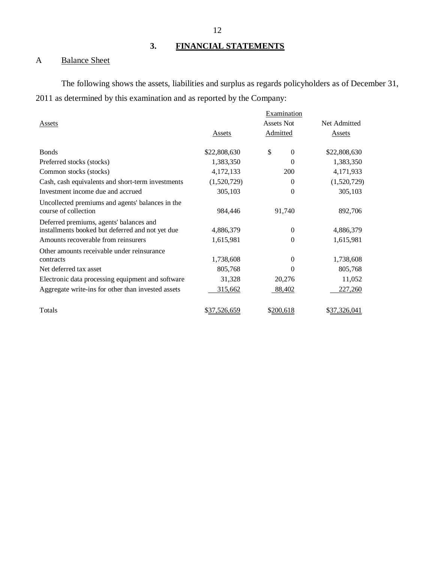## **3. FINANCIAL STATEMENTS**

# A Balance Sheet

The following shows the assets, liabilities and surplus as regards policyholders as of December 31, 2011 as determined by this examination and as reported by the Company:

|                                                                                             |                      | Examination       |                      |
|---------------------------------------------------------------------------------------------|----------------------|-------------------|----------------------|
| <b>Assets</b>                                                                               |                      | <b>Assets Not</b> | Net Admitted         |
|                                                                                             | Assets               | Admitted          | Assets               |
| <b>B</b> onds                                                                               | \$22,808,630         | \$<br>$\Omega$    | \$22,808,630         |
| Preferred stocks (stocks)                                                                   | 1,383,350            | 0                 | 1,383,350            |
| Common stocks (stocks)                                                                      | 4,172,133            | <b>200</b>        | 4,171,933            |
| Cash, cash equivalents and short-term investments                                           | (1,520,729)          | $\Omega$          | (1,520,729)          |
| Investment income due and accrued                                                           | 305,103              | $\boldsymbol{0}$  | 305,103              |
| Uncollected premiums and agents' balances in the<br>course of collection                    | 984,446              | 91,740            | 892,706              |
| Deferred premiums, agents' balances and<br>installments booked but deferred and not yet due | 4,886,379            | 0                 | 4,886,379            |
| Amounts recoverable from reinsurers                                                         | 1,615,981            | 0                 | 1,615,981            |
| Other amounts receivable under reinsurance<br>contracts<br>Net deferred tax asset           | 1,738,608<br>805,768 | $\Omega$<br>0     | 1,738,608<br>805,768 |
| Electronic data processing equipment and software                                           | 31,328               | 20,276            | 11,052               |
| Aggregate write-ins for other than invested assets                                          | 315,662              | 88,402            | 227,260              |
| Totals                                                                                      | \$37,526,659         | \$200,618         | \$37,326,041         |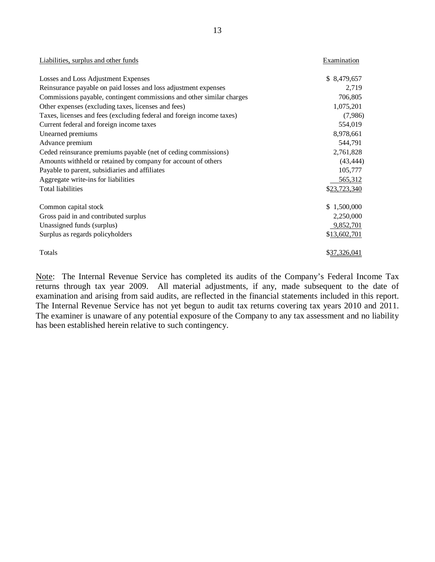| Liabilities, surplus and other funds                                  | Examination  |
|-----------------------------------------------------------------------|--------------|
| Losses and Loss Adjustment Expenses                                   | \$8,479,657  |
| Reinsurance payable on paid losses and loss adjustment expenses       | 2,719        |
| Commissions payable, contingent commissions and other similar charges | 706,805      |
| Other expenses (excluding taxes, licenses and fees)                   | 1,075,201    |
| Taxes, licenses and fees (excluding federal and foreign income taxes) | (7,986)      |
| Current federal and foreign income taxes                              | 554,019      |
| Unearned premiums                                                     | 8,978,661    |
| Advance premium                                                       | 544,791      |
| Ceded reinsurance premiums payable (net of ceding commissions)        | 2,761,828    |
| Amounts withheld or retained by company for account of others         | (43, 444)    |
| Payable to parent, subsidiaries and affiliates                        | 105,777      |
| Aggregate write-ins for liabilities                                   | 565,312      |
| <b>Total liabilities</b>                                              | \$23,723,340 |
| Common capital stock                                                  | \$1,500,000  |
| Gross paid in and contributed surplus                                 | 2,250,000    |
| Unassigned funds (surplus)                                            | 9,852,701    |
| Surplus as regards policyholders                                      | \$13,602,701 |
| Totals                                                                | \$37,326,041 |

Note: The Internal Revenue Service has completed its audits of the Company's Federal Income Tax returns through tax year 2009. All material adjustments, if any, made subsequent to the date of examination and arising from said audits, are reflected in the financial statements included in this report. The Internal Revenue Service has not yet begun to audit tax returns covering tax years 2010 and 2011. The examiner is unaware of any potential exposure of the Company to any tax assessment and no liability has been established herein relative to such contingency.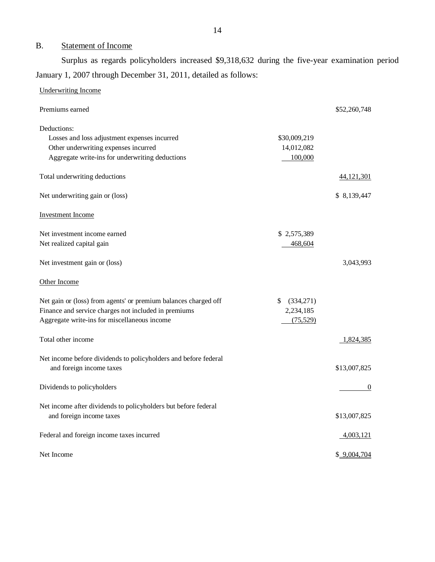# B. Statement of Income

Surplus as regards policyholders increased \$9,318,632 during the five-year examination period January 1, 2007 through December 31, 2011, detailed as follows:

Underwriting Income

| Premiums earned                                                 |                  | \$52,260,748 |
|-----------------------------------------------------------------|------------------|--------------|
| Deductions:                                                     |                  |              |
| Losses and loss adjustment expenses incurred                    | \$30,009,219     |              |
| Other underwriting expenses incurred                            | 14,012,082       |              |
| Aggregate write-ins for underwriting deductions                 | 100,000          |              |
| Total underwriting deductions                                   |                  | 44, 121, 301 |
| Net underwriting gain or (loss)                                 |                  | \$8,139,447  |
| <b>Investment Income</b>                                        |                  |              |
| Net investment income earned                                    | \$2,575,389      |              |
| Net realized capital gain                                       | 468,604          |              |
| Net investment gain or (loss)                                   |                  | 3,043,993    |
| Other Income                                                    |                  |              |
| Net gain or (loss) from agents' or premium balances charged off | \$<br>(334, 271) |              |
| Finance and service charges not included in premiums            | 2,234,185        |              |
| Aggregate write-ins for miscellaneous income                    | (75, 529)        |              |
| Total other income                                              |                  | 1,824,385    |
| Net income before dividends to policyholders and before federal |                  |              |
| and foreign income taxes                                        |                  | \$13,007,825 |
| Dividends to policyholders                                      |                  | $\theta$     |
| Net income after dividends to policyholders but before federal  |                  |              |
| and foreign income taxes                                        |                  | \$13,007,825 |
| Federal and foreign income taxes incurred                       |                  | 4,003,121    |
| Net Income                                                      |                  | \$9,004,704  |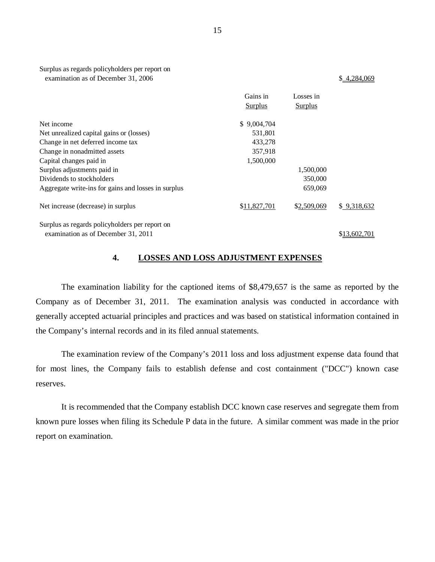| Surplus as regards policyholders per report on |             |
|------------------------------------------------|-------------|
| examination as of December 31, 2006            | \$4.284,069 |

|                                                     | Gains in     | Losses in      |              |
|-----------------------------------------------------|--------------|----------------|--------------|
|                                                     | Surplus      | <b>Surplus</b> |              |
| Net income                                          | \$9,004,704  |                |              |
| Net unrealized capital gains or (losses)            | 531,801      |                |              |
| Change in net deferred income tax                   | 433,278      |                |              |
| Change in nonadmitted assets                        | 357,918      |                |              |
| Capital changes paid in                             | 1,500,000    |                |              |
| Surplus adjustments paid in                         |              | 1,500,000      |              |
| Dividends to stockholders                           |              | 350,000        |              |
| Aggregate write-ins for gains and losses in surplus |              | 659,069        |              |
| Net increase (decrease) in surplus                  | \$11,827,701 | \$2,509,069    | \$9,318,632  |
| Surplus as regards policyholders per report on      |              |                |              |
| examination as of December 31, 2011                 |              |                | \$13,602,701 |

## **4. LOSSES AND LOSS ADJUSTMENT EXPENSES**

The examination liability for the captioned items of \$8,479,657 is the same as reported by the Company as of December 31, 2011. The examination analysis was conducted in accordance with generally accepted actuarial principles and practices and was based on statistical information contained in the Company's internal records and in its filed annual statements.

The examination review of the Company's 2011 loss and loss adjustment expense data found that for most lines, the Company fails to establish defense and cost containment ("DCC") known case reserves.

It is recommended that the Company establish DCC known case reserves and segregate them from known pure losses when filing its Schedule P data in the future. A similar comment was made in the prior report on examination.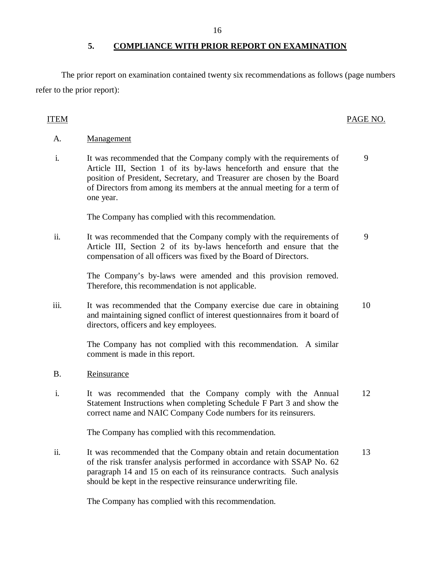## **5. COMPLIANCE WITH PRIOR REPORT ON EXAMINATION**

<span id="page-17-0"></span>The prior report on examination contained twenty six recommendations as follows (page numbers refer to the prior report):

# ITEM PAGE NO.

## A. Management

i. It was recommended that the Company comply with the requirements of 9 Article III, Section 1 of its by-laws henceforth and ensure that the position of President, Secretary, and Treasurer are chosen by the Board of Directors from among its members at the annual meeting for a term of one year.

The Company has complied with this recommendation.

ii. It was recommended that the Company comply with the requirements of 9 Article III, Section 2 of its by-laws henceforth and ensure that the compensation of all officers was fixed by the Board of Directors.

> The Company's by-laws were amended and this provision removed. Therefore, this recommendation is not applicable.

iii. It was recommended that the Company exercise due care in obtaining 10 and maintaining signed conflict of interest questionnaires from it board of directors, officers and key employees.

> The Company has not complied with this recommendation. A similar comment is made in this report.

- B. Reinsurance
- i. It was recommended that the Company comply with the Annual 12 Statement Instructions when completing Schedule F Part 3 and show the correct name and NAIC Company Code numbers for its reinsurers.

The Company has complied with this recommendation.

ii. It was recommended that the Company obtain and retain documentation 13 of the risk transfer analysis performed in accordance with SSAP No. 62 paragraph 14 and 15 on each of its reinsurance contracts. Such analysis should be kept in the respective reinsurance underwriting file.

The Company has complied with this recommendation.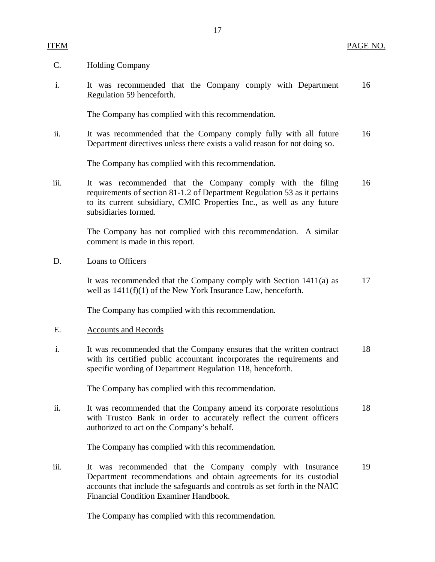## C. Holding Company

i. It was recommended that the Company comply with Department Regulation 59 henceforth. 16

The Company has complied with this recommendation.

ii. It was recommended that the Company comply fully with all future Department directives unless there exists a valid reason for not doing so. 16

The Company has complied with this recommendation.

iii. It was recommended that the Company comply with the filing requirements of section 81-1.2 of Department Regulation 53 as it pertains to its current subsidiary, CMIC Properties Inc., as well as any future subsidiaries formed. 16

> The Company has not complied with this recommendation. A similar comment is made in this report.

D. Loans to Officers

It was recommended that the Company comply with Section 1411(a) as well as  $1411(f)(1)$  of the New York Insurance Law, henceforth. 17

The Company has complied with this recommendation.

## E. Accounts and Records

i. It was recommended that the Company ensures that the written contract with its certified public accountant incorporates the requirements and specific wording of Department Regulation 118, henceforth. 18

The Company has complied with this recommendation.

ii. It was recommended that the Company amend its corporate resolutions with Trustco Bank in order to accurately reflect the current officers authorized to act on the Company's behalf. 18

The Company has complied with this recommendation.

iii. It was recommended that the Company comply with Insurance Department recommendations and obtain agreements for its custodial accounts that include the safeguards and controls as set forth in the NAIC Financial Condition Examiner Handbook. 19

The Company has complied with this recommendation.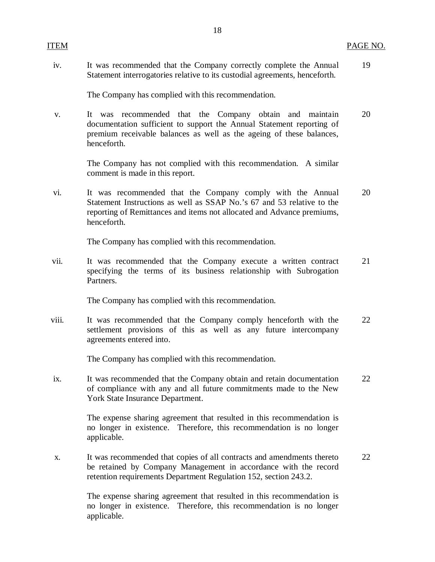| ITEM |                                                                                                                                                                                                                         | PAGE NO. |
|------|-------------------------------------------------------------------------------------------------------------------------------------------------------------------------------------------------------------------------|----------|
| iv.  | It was recommended that the Company correctly complete the Annual<br>Statement interrogatories relative to its custodial agreements, henceforth.                                                                        | 19       |
|      | The Company has complied with this recommendation.                                                                                                                                                                      |          |
| V.   | It was recommended that the Company obtain and maintain<br>documentation sufficient to support the Annual Statement reporting of<br>premium receivable balances as well as the ageing of these balances,<br>henceforth. | 20       |
|      | The Company has not complied with this recommendation. A similar<br>comment is made in this report.                                                                                                                     |          |

vi. It was recommended that the Company comply with the Annual 20 Statement Instructions as well as SSAP No.'s 67 and 53 relative to the reporting of Remittances and items not allocated and Advance premiums, henceforth.

The Company has complied with this recommendation.

vii. It was recommended that the Company execute a written contract 21 specifying the terms of its business relationship with Subrogation Partners.

The Company has complied with this recommendation.

viii. It was recommended that the Company comply henceforth with the 22 settlement provisions of this as well as any future intercompany agreements entered into.

The Company has complied with this recommendation.

ix. It was recommended that the Company obtain and retain documentation 22 of compliance with any and all future commitments made to the New York State Insurance Department.

> The expense sharing agreement that resulted in this recommendation is no longer in existence. Therefore, this recommendation is no longer applicable.

x. It was recommended that copies of all contracts and amendments thereto 22 be retained by Company Management in accordance with the record retention requirements Department Regulation 152, section 243.2.

> The expense sharing agreement that resulted in this recommendation is no longer in existence. Therefore, this recommendation is no longer applicable.

18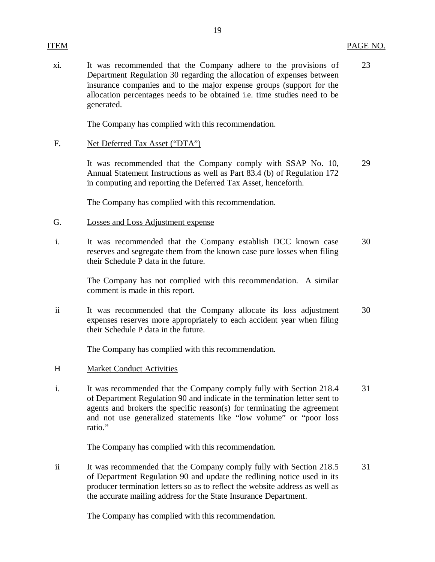xi. It was recommended that the Company adhere to the provisions of 23 Department Regulation 30 regarding the allocation of expenses between insurance companies and to the major expense groups (support for the allocation percentages needs to be obtained i.e. time studies need to be generated.

The Company has complied with this recommendation.

## F. Net Deferred Tax Asset ("DTA")

It was recommended that the Company comply with SSAP No. 10, 29 Annual Statement Instructions as well as Part 83.4 (b) of Regulation 172 in computing and reporting the Deferred Tax Asset, henceforth.

The Company has complied with this recommendation.

- G. Losses and Loss Adjustment expense
- i. It was recommended that the Company establish DCC known case 30 reserves and segregate them from the known case pure losses when filing their Schedule P data in the future.

The Company has not complied with this recommendation. A similar comment is made in this report.

ii It was recommended that the Company allocate its loss adjustment 30 expenses reserves more appropriately to each accident year when filing their Schedule P data in the future.

The Company has complied with this recommendation.

- H Market Conduct Activities
- i. It was recommended that the Company comply fully with Section 218.4 31 of Department Regulation 90 and indicate in the termination letter sent to agents and brokers the specific reason(s) for terminating the agreement and not use generalized statements like "low volume" or "poor loss ratio."

The Company has complied with this recommendation.

ii It was recommended that the Company comply fully with Section 218.5 31 of Department Regulation 90 and update the redlining notice used in its producer termination letters so as to reflect the website address as well as the accurate mailing address for the State Insurance Department.

The Company has complied with this recommendation.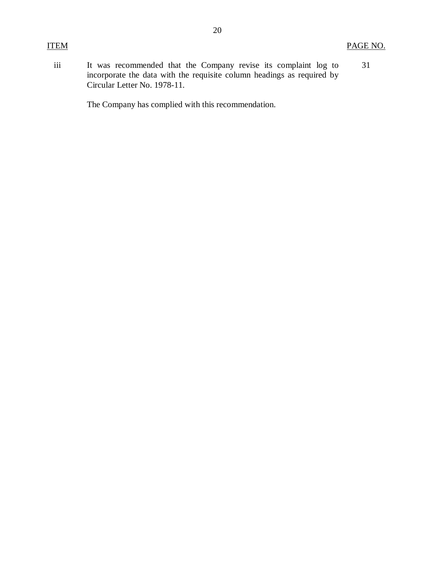iii It was recommended that the Company revise its complaint log to 31 incorporate the data with the requisite column headings as required by Circular Letter No. 1978-11.

The Company has complied with this recommendation.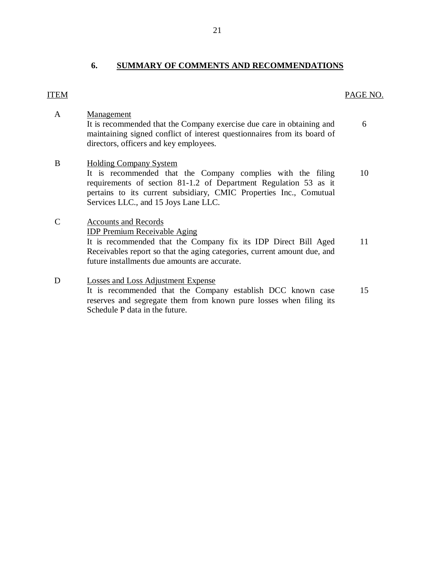## **6. SUMMARY OF COMMENTS AND RECOMMENDATIONS**

## ITEM PAGE NO.

| $\mathbf{A}$  | Management<br>It is recommended that the Company exercise due care in obtaining and<br>maintaining signed conflict of interest questionnaires from its board of<br>directors, officers and key employees.                                                                      | 6  |
|---------------|--------------------------------------------------------------------------------------------------------------------------------------------------------------------------------------------------------------------------------------------------------------------------------|----|
| B             | <b>Holding Company System</b><br>It is recommended that the Company complies with the filing<br>requirements of section 81-1.2 of Department Regulation 53 as it<br>pertains to its current subsidiary, CMIC Properties Inc., Comutual<br>Services LLC., and 15 Joys Lane LLC. | 10 |
| $\mathcal{C}$ | <b>Accounts and Records</b><br><b>IDP</b> Premium Receivable Aging<br>It is recommended that the Company fix its IDP Direct Bill Aged<br>Receivables report so that the aging categories, current amount due, and<br>future installments due amounts are accurate.             | 11 |
| D             | <b>Losses and Loss Adjustment Expense</b>                                                                                                                                                                                                                                      |    |

It is recommended that the Company establish DCC known case reserves and segregate them from known pure losses when filing its Schedule P data in the future. 15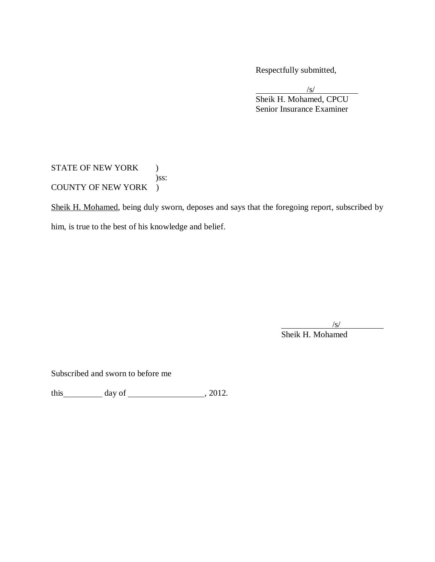Respectfully submitted,

 $\sqrt{s/}$ Sheik H. Mohamed, CPCU Senior Insurance Examiner

STATE OF NEW YORK ) )ss: COUNTY OF NEW YORK )

Sheik H. Mohamed, being duly sworn, deposes and says that the foregoing report, subscribed by him, is true to the best of his knowledge and belief.

 $\sqrt{s/}$ 

Sheik H. Mohamed

Subscribed and sworn to before me

this  $\_\_\_\_\_\$  day of  $\_\_\_\_\_\_\_\_\_\_\_\_$ , 2012.